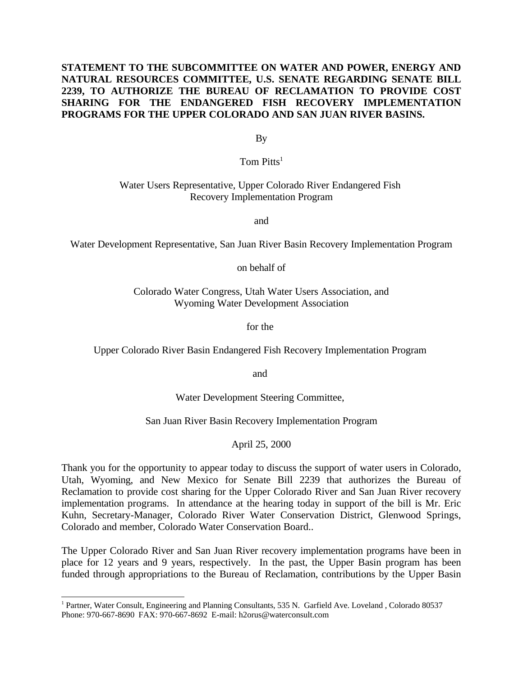## **STATEMENT TO THE SUBCOMMITTEE ON WATER AND POWER, ENERGY AND NATURAL RESOURCES COMMITTEE, U.S. SENATE REGARDING SENATE BILL 2239, TO AUTHORIZE THE BUREAU OF RECLAMATION TO PROVIDE COST SHARING FOR THE ENDANGERED FISH RECOVERY IMPLEMENTATION PROGRAMS FOR THE UPPER COLORADO AND SAN JUAN RIVER BASINS.**

By

Tom  $Pitts<sup>1</sup>$ 

## Water Users Representative, Upper Colorado River Endangered Fish Recovery Implementation Program

and

Water Development Representative, San Juan River Basin Recovery Implementation Program

on behalf of

Colorado Water Congress, Utah Water Users Association, and Wyoming Water Development Association

for the

Upper Colorado River Basin Endangered Fish Recovery Implementation Program

and

Water Development Steering Committee,

San Juan River Basin Recovery Implementation Program

April 25, 2000

Thank you for the opportunity to appear today to discuss the support of water users in Colorado, Utah, Wyoming, and New Mexico for Senate Bill 2239 that authorizes the Bureau of Reclamation to provide cost sharing for the Upper Colorado River and San Juan River recovery implementation programs. In attendance at the hearing today in support of the bill is Mr. Eric Kuhn, Secretary-Manager, Colorado River Water Conservation District, Glenwood Springs, Colorado and member, Colorado Water Conservation Board..

The Upper Colorado River and San Juan River recovery implementation programs have been in place for 12 years and 9 years, respectively. In the past, the Upper Basin program has been funded through appropriations to the Bureau of Reclamation, contributions by the Upper Basin

<sup>&</sup>lt;sup>1</sup> Partner, Water Consult, Engineering and Planning Consultants, 535 N. Garfield Ave. Loveland, Colorado 80537 Phone: 970-667-8690 FAX: 970-667-8692 E-mail: h2orus@waterconsult.com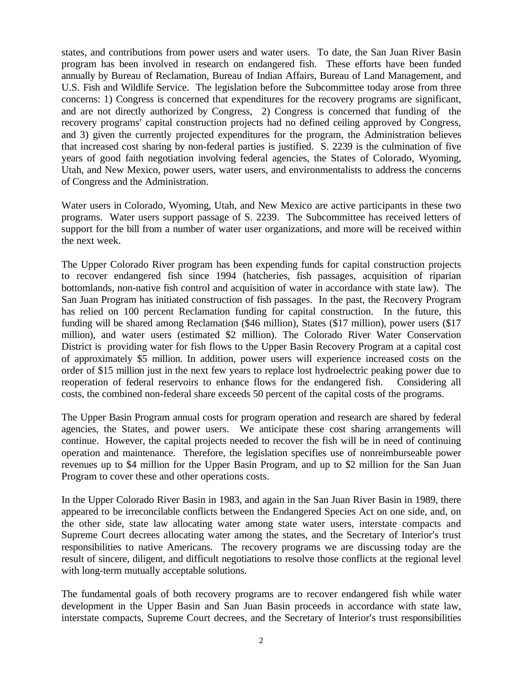states, and contributions from power users and water users. To date, the San Juan River Basin program has been involved in research on endangered fish. These efforts have been funded annually by Bureau of Reclamation, Bureau of Indian Affairs, Bureau of Land Management, and U.S. Fish and Wildlife Service. The legislation before the Subcommittee today arose from three concerns: 1) Congress is concerned that expenditures for the recovery programs are significant, and are not directly authorized by Congress, 2) Congress is concerned that funding of the recovery programs' capital construction projects had no defined ceiling approved by Congress, and 3) given the currently projected expenditures for the program, the Administration believes that increased cost sharing by non-federal parties is justified. S. 2239 is the culmination of five years of good faith negotiation involving federal agencies, the States of Colorado, Wyoming, Utah, and New Mexico, power users, water users, and environmentalists to address the concerns of Congress and the Administration.

Water users in Colorado, Wyoming, Utah, and New Mexico are active participants in these two programs. Water users support passage of S. 2239. The Subcommittee has received letters of support for the bill from a number of water user organizations, and more will be received within the next week.

The Upper Colorado River program has been expending funds for capital construction projects to recover endangered fish since 1994 (hatcheries, fish passages, acquisition of riparian bottomlands, non-native fish control and acquisition of water in accordance with state law). The San Juan Program has initiated construction of fish passages. In the past, the Recovery Program has relied on 100 percent Reclamation funding for capital construction. In the future, this funding will be shared among Reclamation (\$46 million), States (\$17 million), power users (\$17 million), and water users (estimated \$2 million). The Colorado River Water Conservation District is providing water for fish flows to the Upper Basin Recovery Program at a capital cost of approximately \$5 million. In addition, power users will experience increased costs on the order of \$15 million just in the next few years to replace lost hydroelectric peaking power due to reoperation of federal reservoirs to enhance flows for the endangered fish. Considering all costs, the combined non-federal share exceeds 50 percent of the capital costs of the programs.

The Upper Basin Program annual costs for program operation and research are shared by federal agencies, the States, and power users. We anticipate these cost sharing arrangements will continue. However, the capital projects needed to recover the fish will be in need of continuing operation and maintenance. Therefore, the legislation specifies use of nonreimburseable power revenues up to \$4 million for the Upper Basin Program, and up to \$2 million for the San Juan Program to cover these and other operations costs.

In the Upper Colorado River Basin in 1983, and again in the San Juan River Basin in 1989, there appeared to be irreconcilable conflicts between the Endangered Species Act on one side, and, on the other side, state law allocating water among state water users, interstate compacts and Supreme Court decrees allocating water among the states, and the Secretary of Interior's trust responsibilities to native Americans. The recovery programs we are discussing today are the result of sincere, diligent, and difficult negotiations to resolve those conflicts at the regional level with long-term mutually acceptable solutions.

The fundamental goals of both recovery programs are to recover endangered fish while water development in the Upper Basin and San Juan Basin proceeds in accordance with state law, interstate compacts, Supreme Court decrees, and the Secretary of Interior's trust responsibilities